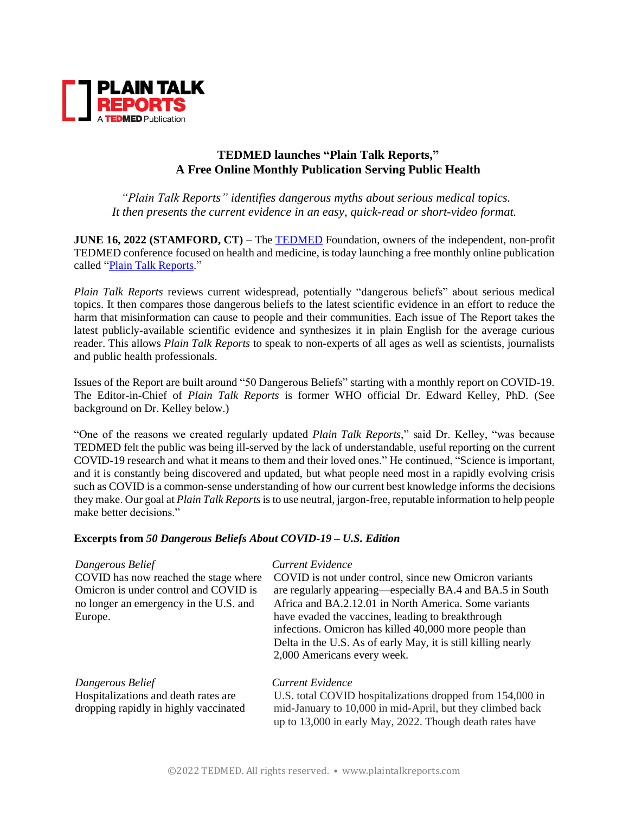

## **TEDMED launches "Plain Talk Reports," A Free Online Monthly Publication Serving Public Health**

*"Plain Talk Reports" identifies dangerous myths about serious medical topics. It then presents the current evidence in an easy, quick-read or short-video format.*

**JUNE 16, 2022 (STAMFORD, CT) –** The [TEDMED](http://www.tedmed.com/) Foundation, owners of the independent, non-profit TEDMED conference focused on health and medicine, is today launching a free monthly online publication called ["Plain Talk Reports.](http://www.plaintalkreports.com/)"

*Plain Talk Reports* reviews current widespread, potentially "dangerous beliefs" about serious medical topics. It then compares those dangerous beliefs to the latest scientific evidence in an effort to reduce the harm that misinformation can cause to people and their communities. Each issue of The Report takes the latest publicly-available scientific evidence and synthesizes it in plain English for the average curious reader. This allows *Plain Talk Reports* to speak to non-experts of all ages as well as scientists, journalists and public health professionals.

Issues of the Report are built around "50 Dangerous Beliefs" starting with a monthly report on COVID-19. The Editor-in-Chief of *Plain Talk Reports* is former WHO official Dr. Edward Kelley, PhD. (See background on Dr. Kelley below.)

"One of the reasons we created regularly updated *Plain Talk Reports*," said Dr. Kelley, "was because TEDMED felt the public was being ill-served by the lack of understandable, useful reporting on the current COVID-19 research and what it means to them and their loved ones." He continued, "Science is important, and it is constantly being discovered and updated, but what people need most in a rapidly evolving crisis such as COVID is a common-sense understanding of how our current best knowledge informs the decisions they make. Our goal at *Plain Talk Reports*is to use neutral, jargon-free, reputable information to help people make better decisions."

## **Excerpts from** *50 Dangerous Beliefs About COVID-19 – U.S. Edition*

| Dangerous Belief<br>COVID has now reached the stage where<br>Omicron is under control and COVID is<br>no longer an emergency in the U.S. and<br>Europe. | Current Evidence<br>COVID is not under control, since new Omicron variants<br>are regularly appearing—especially BA.4 and BA.5 in South<br>Africa and BA.2.12.01 in North America. Some variants<br>have evaded the vaccines, leading to breakthrough<br>infections. Omicron has killed 40,000 more people than<br>Delta in the U.S. As of early May, it is still killing nearly<br>2,000 Americans every week. |
|---------------------------------------------------------------------------------------------------------------------------------------------------------|-----------------------------------------------------------------------------------------------------------------------------------------------------------------------------------------------------------------------------------------------------------------------------------------------------------------------------------------------------------------------------------------------------------------|
| Dangerous Belief<br>Hospitalizations and death rates are<br>dropping rapidly in highly vaccinated                                                       | Current Evidence<br>U.S. total COVID hospitalizations dropped from 154,000 in<br>mid-January to 10,000 in mid-April, but they climbed back<br>up to 13,000 in early May, 2022. Though death rates have                                                                                                                                                                                                          |